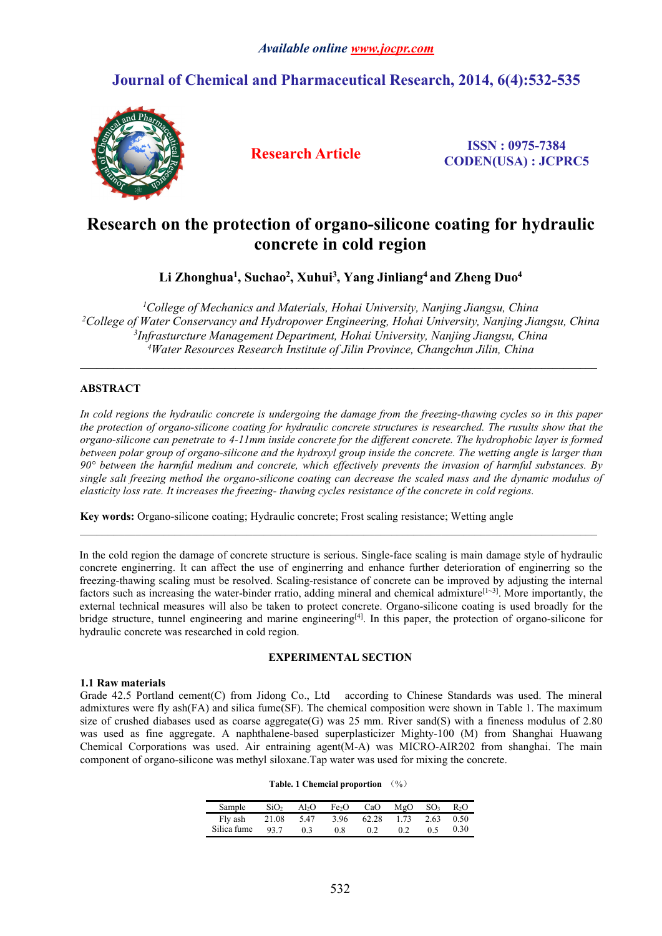## *Available online [www.jocpr.com](http://www.jocpr.com)*

## **Journal of Chemical and Pharmaceutical Research, 2014, 6(4):532-535**



**Research Article ISSN : 0975-7384 CODEN(USA) : JCPRC5**

# **Research on the protection of organo-silicone coating for hydraulic concrete in cold region**

**Li Zhonghua<sup>1</sup> , Suchao<sup>2</sup> , Xuhui<sup>3</sup> , Yang Jinliang<sup>4</sup> and Zheng Duo<sup>4</sup>**

*College of Mechanics and Materials, Hohai University, Nanjing Jiangsu, China College of Water Conservancy and Hydropower Engineering, Hohai University, Nanjing Jiangsu, China Infrasturcture Management Department, Hohai University, Nanjing Jiangsu, China Water Resources Research Institute of Jilin Province, Changchun Jilin, China*

 $\_$  ,  $\_$  ,  $\_$  ,  $\_$  ,  $\_$  ,  $\_$  ,  $\_$  ,  $\_$  ,  $\_$  ,  $\_$  ,  $\_$  ,  $\_$  ,  $\_$  ,  $\_$  ,  $\_$  ,  $\_$  ,  $\_$  ,  $\_$  ,  $\_$  ,  $\_$  ,  $\_$  ,  $\_$  ,  $\_$  ,  $\_$  ,  $\_$  ,  $\_$  ,  $\_$  ,  $\_$  ,  $\_$  ,  $\_$  ,  $\_$  ,  $\_$  ,  $\_$  ,  $\_$  ,  $\_$  ,  $\_$  ,  $\_$  ,

## **ABSTRACT**

In cold regions the hydraulic concrete is undergoing the damage from the freezing-thawing cycles so in this paper the protection of organo-silicone coating for hydraulic concrete structures is researched. The rusults show that the organo-silicone can penetrate to 4-11mm inside concrete for the different concrete. The hydrophobic layer is formed between polar group of organo-silicone and the hydroxyl group inside the concrete. The wetting angle is larger than *90° between the harmful medium and concrete, which effectively prevents the invasion of harmful substances. By* single salt freezing method the organo-silicone coating can decrease the scaled mass and the dynamic modulus of *elasticity loss rate. It increases the freezing- thawing cycles resistance of the concrete in cold regions.*

**Key words:**Organo-silicone coating; Hydraulic concrete; Frost scaling resistance; Wetting angle

In the cold region the damage of concrete structure is serious. Single-face scaling is main damage style of hydraulic concrete enginerring. It can affect the use of enginerring and enhance further deterioration of enginerring so the freezing-thawing scaling must be resolved. Scaling-resistance of concrete can be improved by adjusting the internal factors such as increasing the water-binder rratio, adding mineral and chemical admixture<sup>[1~3]</sup>. More importantly, the external technical measures will also be taken to protect concrete. Organo-silicone coating is used broadly for the bridge structure, tunnel engineering and marine engineering<sup>[4]</sup>. In this paper, the protection of organo-silicone for hydraulic concrete was researched in cold region.

#### **EXPERIMENTAL SECTION**

#### **1.1 Raw materials**

Grade 42.5 Portland cement(C) from Jidong Co., Ltd according to Chinese Standards was used. The mineral admixtures were fly ash(FA) and silica fume(SF). The chemical composition were shown in Table 1.The maximum size of crushed diabases used as coarse aggregate(G) was 25 mm. River sand(S) with a fineness modulus of 2.80 was used as fine aggregate. A naphthalene-based superplasticizer Mighty-100 (M) from Shanghai Huawang Chemical Corporations was used. Air entraining agent(M-A) was MICRO-AIR202 from shanghai. The main component of organo-silicone was methyl siloxane.Tap water was used for mixing the concrete.

|--|

| Sample                                       | $SiO2$ Al <sub>2</sub> O Fe <sub>2</sub> O CaO MgO SO <sub>3</sub> R <sub>2</sub> O |  |  |  |
|----------------------------------------------|-------------------------------------------------------------------------------------|--|--|--|
| Fly ash 21.08 5.47 3.96 62.28 1.73 2.63 0.50 |                                                                                     |  |  |  |
| Silica fume 93.7 0.3 0.8 0.2 0.2 0.5 0.30    |                                                                                     |  |  |  |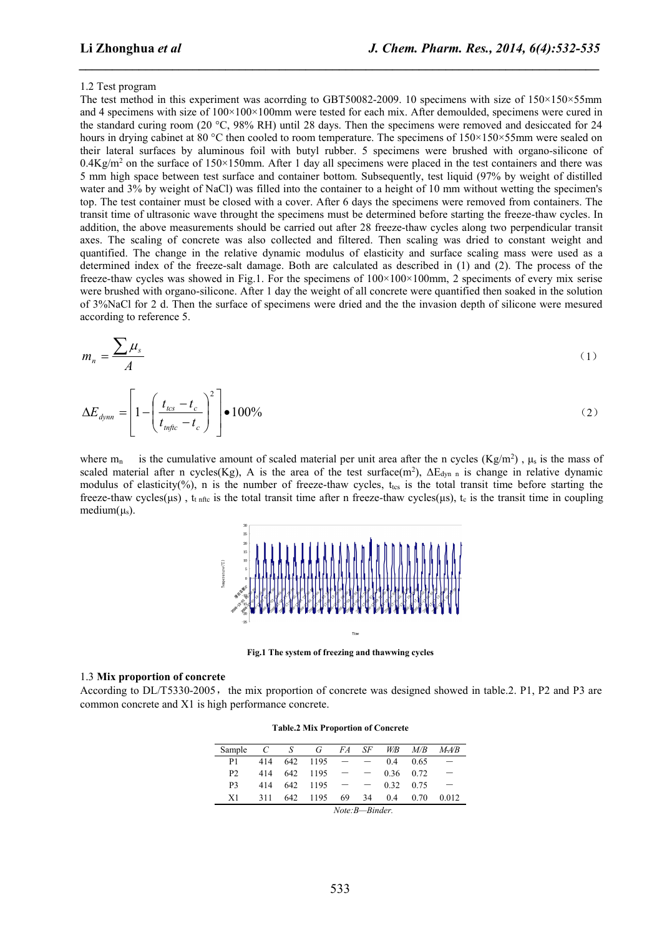*\_\_\_\_\_\_\_\_\_\_\_\_\_\_\_\_\_\_\_\_\_\_\_\_\_\_\_\_\_\_\_\_\_\_\_\_\_\_\_\_\_\_\_\_\_\_\_\_\_\_\_\_\_\_\_\_\_\_\_\_\_\_\_\_\_\_\_\_\_\_\_\_\_\_\_\_\_\_*

#### 1.2 Test program

The test method in this experiment was acorrding to GBT50082-2009. 10 specimens with size of  $150\times150\times55$ mm and 4 specimens with size of  $100\times100\times100$  mm were tested for each mix. After demoulded, specimens were cured in the standard curing room (20 °C, 98% RH) until 28 days. Then the specimens were removed and desiccated for 24 hours in drying cabinet at 80 °C then cooled to room temperature. The specimens of  $150\times150\times55$ mm were sealed on their lateral surfaces by aluminous foil with butyl rubber. 5 specimens were brushed with organo-silicone of  $0.4$ Kg/m<sup>2</sup> on the surface of  $150 \times 150$ mm. After 1 day all specimens were placed in the test containers and there was 5 mm high space between test surface and container bottom. Subsequently, test liquid (97% by weight of distilled water and 3% by weight of NaCl) was filled into the container to a height of 10 mm without wetting the specimen's top. The test container must be closed with a cover. After 6 daysthe specimens were removed from containers. The transit time of ultrasonic wave throught the specimens must be determined before starting the freeze-thaw cycles. In addition, the above measurements should be carried out after 28 freeze-thaw cycles along two perpendicular transit axes. The scaling of concrete was also collected and filtered. Then scaling was dried to constant weight and quantified. The change in the relative dynamic modulus of elasticity and surface scaling mass were used as a determined index of the freeze-salt damage. Both are calculated as described in (1) and (2). The process of the freeze-thaw cycles was showed in Fig.1. For the specimens of 100×100×100mm, 2 speciments of every mix serise were brushed with organo-silicone. After 1 day the weight of all concrete were quantified then soaked in the solution of 3%NaCl for 2 d. Then the surface of specimens were dried and the the invasion depth of silicone were mesured according to reference 5.

$$
m_n = \frac{\sum \mu_s}{A}
$$
 (1)

$$
\Delta E_{\text{dyn}} = \left[1 - \left(\frac{t_{\text{ics}} - t_c}{t_{\text{infic}} - t_c}\right)^2\right] \bullet 100\%
$$
\n(2)

where  $m_n$  is the cumulative amount of scaled material per unit area after the n cycles (Kg/m<sup>2</sup>),  $\mu_s$  is the mass of scaled material after n cycles(Kg), A is the area of the test surface(m<sup>2</sup>),  $\Delta E_{dyn}$  is change in relative dynamic modulus of elasticity(%), n is the number of freeze-thaw cycles,  $t_{\text{tes}}$  is the total transit time before starting the freeze-thaw cycles(μs), t<sub>t nftc</sub> is the total transit time after n freeze-thaw cycles(μs), t<sub>c</sub> is the transit time in coupling medium $(\mu_s)$ .



**Fig.1 The system of freezing and thawwing cycles**

#### 1.3 **Mix proportion of concrete**

According to DL/T5330-2005, the mix proportion of concrete was designed showed in table.2. P1, P2 and P3 are common concrete and X1 is high performance concrete.

| <b>Table.2 Mix Proportion of Concrete</b> |  |
|-------------------------------------------|--|
|-------------------------------------------|--|

| Sample         | $\overline{C}$ | S   | G                        | FA   | SF   | W/B | $M\!/\!B$ | $M=AB$                   |
|----------------|----------------|-----|--------------------------|------|------|-----|-----------|--------------------------|
| P <sub>1</sub> | 414            |     | 642 1195                 | $ -$ |      | 0.4 | 0.65      | $\overline{\phantom{m}}$ |
| P <sub>2</sub> |                |     | $414$ $642$ $1195$ - -   |      |      |     | 0.36 0.72 | $\overline{\phantom{m}}$ |
| P <sub>3</sub> | 414            |     | $642$ 1195 - - 0.32 0.75 |      |      |     |           |                          |
| X1             | 311            | 642 | 1195                     | 69   | - 34 | 0.4 | 0.70      | 0.012                    |
| Note:B-Binder. |                |     |                          |      |      |     |           |                          |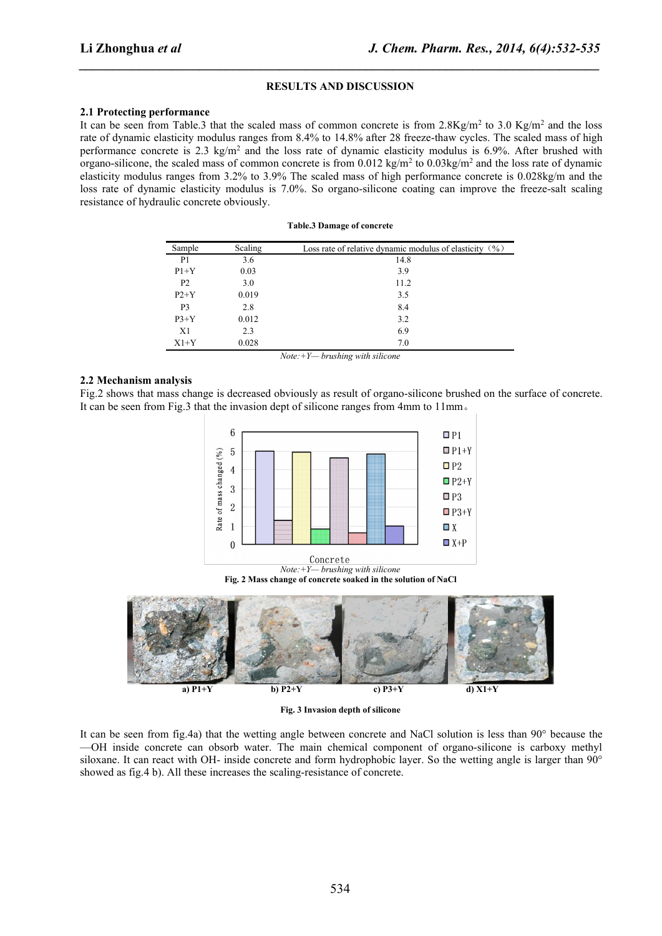#### **RESULTS AND DISCUSSION**

*\_\_\_\_\_\_\_\_\_\_\_\_\_\_\_\_\_\_\_\_\_\_\_\_\_\_\_\_\_\_\_\_\_\_\_\_\_\_\_\_\_\_\_\_\_\_\_\_\_\_\_\_\_\_\_\_\_\_\_\_\_\_\_\_\_\_\_\_\_\_\_\_\_\_\_\_\_\_*

#### **2.1 Protecting performance**

It can be seen from Table.3 that the scaled mass of common concrete is from  $2.8\text{Kg/m}^2$  to  $3.0 \text{Kg/m}^2$  and the loss rate of dynamic elasticity modulus ranges from 8.4% to 14.8% after 28 freeze-thaw cycles. The scaled mass of high performance concrete is 2.3 kg/m<sup>2</sup> and the loss rate of dynamic elasticity modulus is 6.9%. After brushed with organo-silicone, the scaled mass of common concrete is from  $0.012 \text{ kg/m}^2$  to  $0.03 \text{kg/m}^2$  and the loss rate of dynamic elasticity modulus ranges from 3.2% to 3.9% The scaled mass of high performance concrete is 0.028kg/m and the loss rate of dynamic elasticity modulus is 7.0%. So organo-silicone coating can improve the freeze-salt scaling resistance of hydraulic concrete obviously.

#### **Table.3 Damage of concrete**

| Sample         | Scaling | Loss rate of relative dynamic modulus of elasticity $(%)$ |
|----------------|---------|-----------------------------------------------------------|
| P <sub>1</sub> | 3.6     | 14.8                                                      |
| $P1+Y$         | 0.03    | 3.9                                                       |
| P <sub>2</sub> | 3.0     | 11.2                                                      |
| $P2+Y$         | 0.019   | 3.5                                                       |
| P <sub>3</sub> | 2.8     | 8.4                                                       |
| $P3+Y$         | 0.012   | 3.2                                                       |
| X1             | 2.3     | 6.9                                                       |
| $X1+Y$         | 0.028   | 7.0                                                       |

*Note:+Y— brushing with silicone*

## **2.2 Mechanism analysis**

Fig.2 shows that mass change is decreased obviously as result of organo-silicone brushed on the surface of concrete. It can be seen from Fig.3 that the invasion dept of silicone ranges from 4mm to 11mm。



Concrete *Note:+Y— brushing with silicone* **Fig. 2 Mass change of concrete soaked in the solution of NaCl**



**Fig. 3 Invasion depth of silicone**

It can be seen from fig.4a) that thewetting angle between concrete and NaCl solution is less than 90° because the —OH inside concrete can obsorb water. The main chemical component of organo-silicone is carboxy methyl siloxane. It can react with OH- inside concrete and form hydrophobic layer. So the wetting angle islarger than 90° showed as fig.4 b). All these increases the scaling-resistance of concrete.